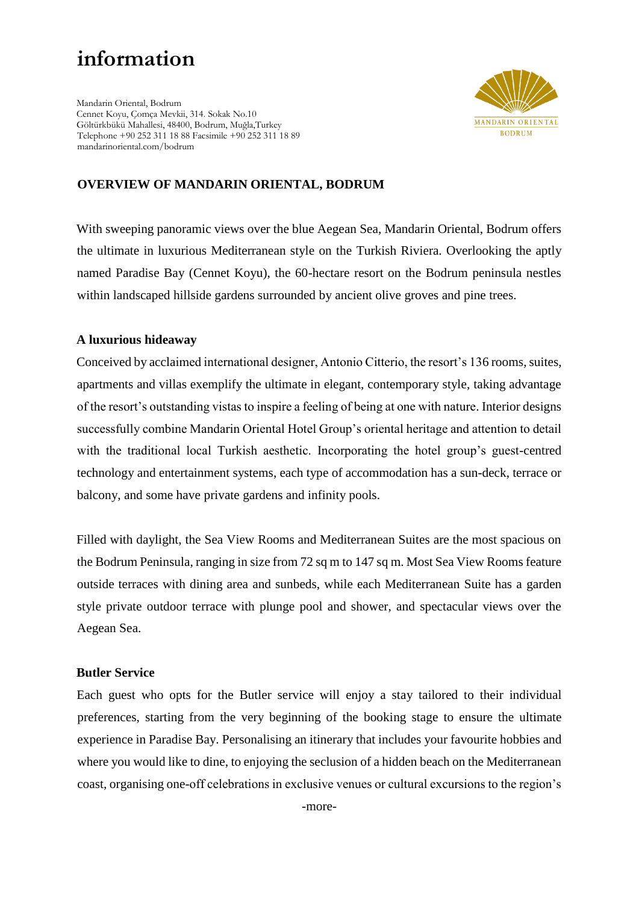# **information**

Mandarin Oriental, Bodrum Cennet Koyu, Çomça Mevkii, 314. Sokak No.10 Göltürkbükü Mahallesi, 48400, Bodrum, Muğla,Turkey Telephone +90 252 311 18 88 Facsimile +90 252 311 18 89 mandarinoriental.com/bodrum



# **OVERVIEW OF MANDARIN ORIENTAL, BODRUM**

With sweeping panoramic views over the blue Aegean Sea, Mandarin Oriental, Bodrum offers the ultimate in luxurious Mediterranean style on the Turkish Riviera. Overlooking the aptly named Paradise Bay (Cennet Koyu), the 60-hectare resort on the Bodrum peninsula nestles within landscaped hillside gardens surrounded by ancient olive groves and pine trees.

#### **A luxurious hideaway**

Conceived by acclaimed international designer, Antonio Citterio, the resort's 136 rooms, suites, apartments and villas exemplify the ultimate in elegant, contemporary style, taking advantage of the resort's outstanding vistas to inspire a feeling of being at one with nature. Interior designs successfully combine Mandarin Oriental Hotel Group's oriental heritage and attention to detail with the traditional local Turkish aesthetic. Incorporating the hotel group's guest-centred technology and entertainment systems, each type of accommodation has a sun-deck, terrace or balcony, and some have private gardens and infinity pools.

Filled with daylight, the Sea View Rooms and Mediterranean Suites are the most spacious on the Bodrum Peninsula, ranging in size from 72 sq m to 147 sq m. Most Sea View Rooms feature outside terraces with dining area and sunbeds, while each Mediterranean Suite has a garden style private outdoor terrace with plunge pool and shower, and spectacular views over the Aegean Sea.

#### **Butler Service**

Each guest who opts for the Butler service will enjoy a stay tailored to their individual preferences, starting from the very beginning of the booking stage to ensure the ultimate experience in Paradise Bay. Personalising an itinerary that includes your favourite hobbies and where you would like to dine, to enjoying the seclusion of a hidden beach on the Mediterranean coast, organising one-off celebrations in exclusive venues or cultural excursions to the region's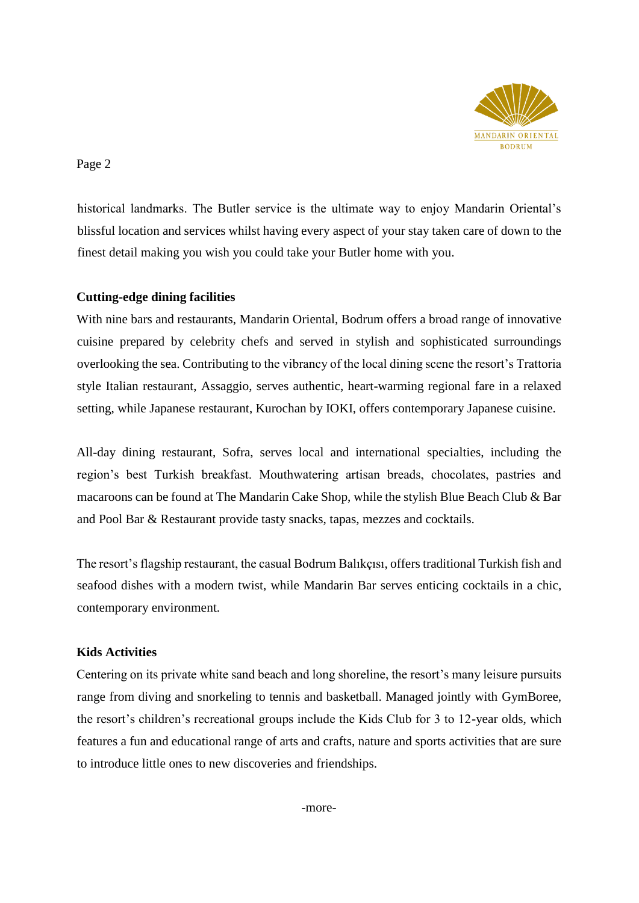

Page 2

historical landmarks. The Butler service is the ultimate way to enjoy Mandarin Oriental's blissful location and services whilst having every aspect of your stay taken care of down to the finest detail making you wish you could take your Butler home with you.

## **Cutting-edge dining facilities**

With nine bars and restaurants, Mandarin Oriental, Bodrum offers a broad range of innovative cuisine prepared by celebrity chefs and served in stylish and sophisticated surroundings overlooking the sea. Contributing to the vibrancy of the local dining scene the resort's Trattoria style Italian restaurant, Assaggio, serves authentic, heart-warming regional fare in a relaxed setting, while Japanese restaurant, Kurochan by IOKI, offers contemporary Japanese cuisine.

All-day dining restaurant, Sofra, serves local and international specialties, including the region's best Turkish breakfast. Mouthwatering artisan breads, chocolates, pastries and macaroons can be found at The Mandarin Cake Shop, while the stylish Blue Beach Club & Bar and Pool Bar & Restaurant provide tasty snacks, tapas, mezzes and cocktails.

The resort's flagship restaurant, the casual Bodrum Balıkçısı, offers traditional Turkish fish and seafood dishes with a modern twist, while Mandarin Bar serves enticing cocktails in a chic, contemporary environment.

## **Kids Activities**

Centering on its private white sand beach and long shoreline, the resort's many leisure pursuits range from diving and snorkeling to tennis and basketball. Managed jointly with GymBoree, the resort's children's recreational groups include the Kids Club for 3 to 12-year olds, which features a fun and educational range of arts and crafts, nature and sports activities that are sure to introduce little ones to new discoveries and friendships.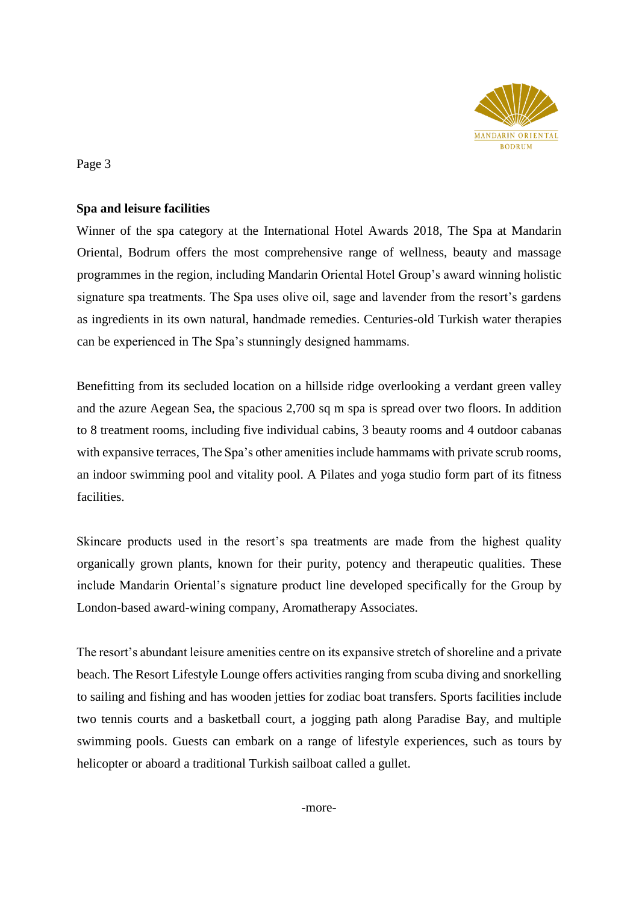

Page 3

## **Spa and leisure facilities**

Winner of the spa category at the International Hotel Awards 2018, The Spa at Mandarin Oriental, Bodrum offers the most comprehensive range of wellness, beauty and massage programmes in the region, including Mandarin Oriental Hotel Group's award winning holistic signature spa treatments. The Spa uses olive oil, sage and lavender from the resort's gardens as ingredients in its own natural, handmade remedies. Centuries-old Turkish water therapies can be experienced in The Spa's stunningly designed hammams.

Benefitting from its secluded location on a hillside ridge overlooking a verdant green valley and the azure Aegean Sea, the spacious 2,700 sq m spa is spread over two floors. In addition to 8 treatment rooms, including five individual cabins, 3 beauty rooms and 4 outdoor cabanas with expansive terraces, The Spa's other amenities include hammams with private scrub rooms, an indoor swimming pool and vitality pool. A Pilates and yoga studio form part of its fitness facilities.

Skincare products used in the resort's spa treatments are made from the highest quality organically grown plants, known for their purity, potency and therapeutic qualities. These include Mandarin Oriental's signature product line developed specifically for the Group by London-based award-wining company, Aromatherapy Associates.

The resort's abundant leisure amenities centre on its expansive stretch of shoreline and a private beach. The Resort Lifestyle Lounge offers activities ranging from scuba diving and snorkelling to sailing and fishing and has wooden jetties for zodiac boat transfers. Sports facilities include two tennis courts and a basketball court, a jogging path along Paradise Bay, and multiple swimming pools. Guests can embark on a range of lifestyle experiences, such as tours by helicopter or aboard a traditional Turkish sailboat called a gullet.